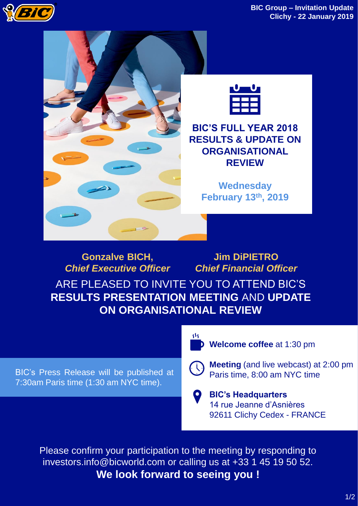



*Chief Executive Officer Chief Financial Officer* ARE PLEASED TO INVITE YOU TO ATTEND BIC'S **RESULTS PRESENTATION MEETING** AND **UPDATE ON ORGANISATIONAL REVIEW**

BIC's Press Release will be published at 7:30am Paris time (1:30 am NYC time).

**Welcome coffee** at 1:30 pm



**Meeting** (and live webcast) at 2:00 pm Paris time, 8:00 am NYC time

**BIC's Headquarters**  14 rue Jeanne d'Asnières 92611 Clichy Cedex - FRANCE

Please confirm your participation to the meeting by responding to investors.info@bicworld.com or calling us at +33 1 45 19 50 52. **We look forward to seeing you !**